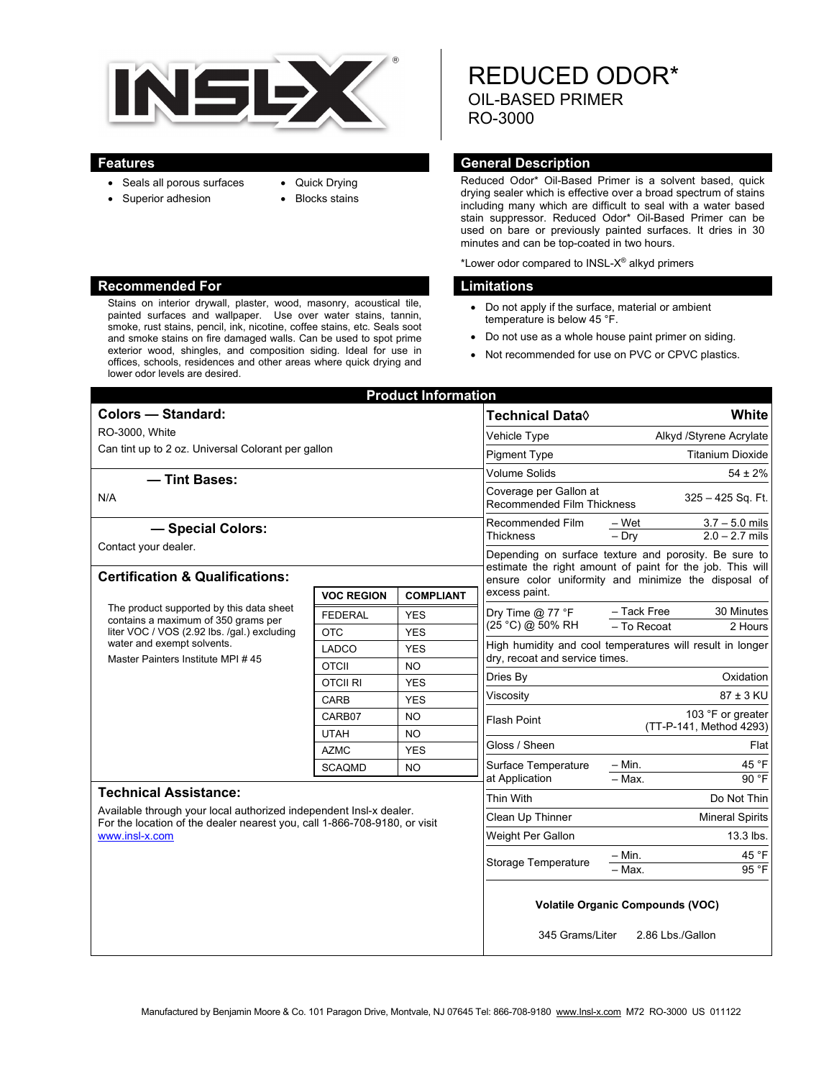

Stains on interior drywall, plaster, wood, masonry, acoustical tile, painted surfaces and wallpaper. Use over water stains, tannin, smoke, rust stains, pencil, ink, nicotine, coffee stains, etc. Seals soot and smoke stains on fire damaged walls. Can be used to spot prime exterior wood, shingles, and composition siding. Ideal for use in offices, schools, residences and other areas where quick drying and

- Quick Drying
- Seals all porous surfaces • Superior adhesion

lower odor levels are desired.

- 
- Blocks stains

# REDUCED ODOR\* OIL-BASED PRIMER RO-3000

#### **Features General Description**

Reduced Odor\* Oil-Based Primer is a solvent based, quick drying sealer which is effective over a broad spectrum of stains including many which are difficult to seal with a water based stain suppressor. Reduced Odor\* Oil-Based Primer can be used on bare or previously painted surfaces. It dries in 30 minutes and can be top-coated in two hours.

\*Lower odor compared to INSL- $X^{\circledast}$  alkyd primers

#### **Recommended For Limitations Accommended For Limitations**

- Do not apply if the surface, material or ambient temperature is below 45 °F.
- Do not use as a whole house paint primer on siding.
- Not recommended for use on PVC or CPVC plastics.

| <b>Product Information</b>                                                                                                                                                                        |                   |                  |                                                                                                                                                                            |                                              |
|---------------------------------------------------------------------------------------------------------------------------------------------------------------------------------------------------|-------------------|------------------|----------------------------------------------------------------------------------------------------------------------------------------------------------------------------|----------------------------------------------|
| <b>Colors - Standard:</b>                                                                                                                                                                         |                   |                  | Technical Data◊                                                                                                                                                            | White                                        |
| RO-3000, White                                                                                                                                                                                    |                   |                  | Vehicle Type                                                                                                                                                               | Alkyd /Styrene Acrylate                      |
| Can tint up to 2 oz. Universal Colorant per gallon                                                                                                                                                |                   |                  | <b>Pigment Type</b>                                                                                                                                                        | <b>Titanium Dioxide</b>                      |
|                                                                                                                                                                                                   |                   |                  | Volume Solids                                                                                                                                                              | $54 \pm 2\%$                                 |
| - Tint Bases:<br>N/A                                                                                                                                                                              |                   |                  | Coverage per Gallon at<br>325 - 425 Sq. Ft.<br><b>Recommended Film Thickness</b>                                                                                           |                                              |
|                                                                                                                                                                                                   |                   |                  |                                                                                                                                                                            |                                              |
| Contact your dealer.                                                                                                                                                                              |                   |                  | Thickness                                                                                                                                                                  | $2.0 - 2.7$ mils<br>$-$ Drv                  |
|                                                                                                                                                                                                   |                   |                  | Depending on surface texture and porosity. Be sure to<br>estimate the right amount of paint for the job. This will<br>ensure color uniformity and minimize the disposal of |                                              |
| <b>Certification &amp; Qualifications:</b>                                                                                                                                                        |                   |                  |                                                                                                                                                                            |                                              |
|                                                                                                                                                                                                   | <b>VOC REGION</b> | <b>COMPLIANT</b> | excess paint.                                                                                                                                                              |                                              |
| The product supported by this data sheet<br>contains a maximum of 350 grams per<br>liter VOC / VOS (2.92 lbs. /gal.) excluding<br>water and exempt solvents.<br>Master Painters Institute MPI #45 | <b>FEDERAL</b>    | <b>YES</b>       | Dry Time $@$ 77 °F<br>(25 °C) @ 50% RH                                                                                                                                     | - Tack Free<br>30 Minutes                    |
|                                                                                                                                                                                                   | <b>OTC</b>        | <b>YES</b>       |                                                                                                                                                                            | $-$ To Recoat<br>2 Hours                     |
|                                                                                                                                                                                                   | <b>LADCO</b>      | <b>YES</b>       | High humidity and cool temperatures will result in longer<br>dry, recoat and service times.                                                                                |                                              |
|                                                                                                                                                                                                   | <b>OTCII</b>      | <b>NO</b>        |                                                                                                                                                                            |                                              |
|                                                                                                                                                                                                   | <b>OTCII RI</b>   | <b>YES</b>       | Dries By                                                                                                                                                                   | Oxidation                                    |
|                                                                                                                                                                                                   | CARB              | <b>YES</b>       | Viscosity                                                                                                                                                                  | 87 ± 3 KU                                    |
|                                                                                                                                                                                                   | CARB07            | <b>NO</b>        | <b>Flash Point</b>                                                                                                                                                         | 103 °F or greater<br>(TT-P-141, Method 4293) |
|                                                                                                                                                                                                   | <b>UTAH</b>       | <b>NO</b>        | Gloss / Sheen                                                                                                                                                              | Flat                                         |
|                                                                                                                                                                                                   | <b>AZMC</b>       | <b>YES</b>       |                                                                                                                                                                            | $-$ Min.<br>45 °F                            |
|                                                                                                                                                                                                   | <b>SCAQMD</b>     | <b>NO</b>        | Surface Temperature<br>at Application                                                                                                                                      | $-$ Max.<br>90 °F                            |
| <b>Technical Assistance:</b><br>Available through your local authorized independent Insl-x dealer.<br>For the location of the dealer nearest you, call 1-866-708-9180, or visit<br>www.insl-x.com |                   |                  | Thin With                                                                                                                                                                  | Do Not Thin                                  |
|                                                                                                                                                                                                   |                   |                  | Clean Up Thinner                                                                                                                                                           | <b>Mineral Spirits</b>                       |
|                                                                                                                                                                                                   |                   |                  | Weight Per Gallon                                                                                                                                                          | 13.3 lbs.                                    |
|                                                                                                                                                                                                   |                   |                  | <b>Storage Temperature</b>                                                                                                                                                 | 45 °F<br>– Min.                              |
|                                                                                                                                                                                                   |                   |                  |                                                                                                                                                                            | 95 °F<br>- Max.                              |
|                                                                                                                                                                                                   |                   |                  |                                                                                                                                                                            |                                              |
|                                                                                                                                                                                                   |                   |                  | <b>Volatile Organic Compounds (VOC)</b>                                                                                                                                    |                                              |
|                                                                                                                                                                                                   |                   |                  | 345 Grams/Liter<br>2.86 Lbs./Gallon                                                                                                                                        |                                              |